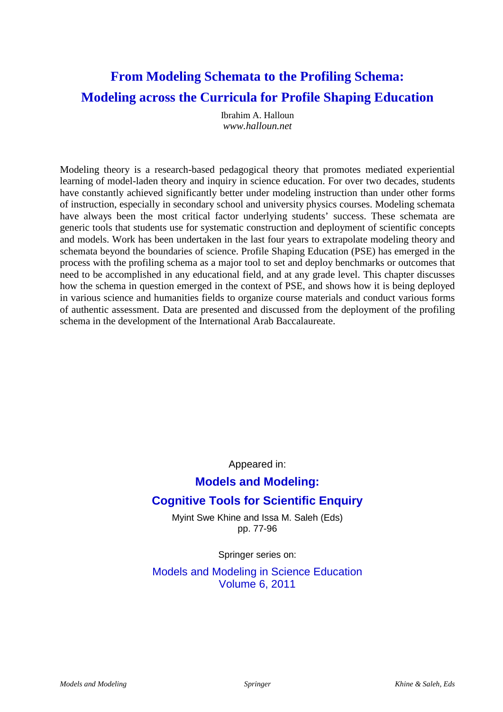# **From Modeling Schemata to the Profiling Schema: Modeling across the Curricula for Profile Shaping Education**

Ibrahim A. Halloun *www.halloun.net*

Modeling theory is a research-based pedagogical theory that promotes mediated experiential learning of model-laden theory and inquiry in science education. For over two decades, students have constantly achieved significantly better under modeling instruction than under other forms of instruction, especially in secondary school and university physics courses. Modeling schemata have always been the most critical factor underlying students' success. These schemata are generic tools that students use for systematic construction and deployment of scientific concepts and models. Work has been undertaken in the last four years to extrapolate modeling theory and schemata beyond the boundaries of science. Profile Shaping Education (PSE) has emerged in the process with the profiling schema as a major tool to set and deploy benchmarks or outcomes that need to be accomplished in any educational field, and at any grade level. This chapter discusses how the schema in question emerged in the context of PSE, and shows how it is being deployed in various science and humanities fields to organize course materials and conduct various forms of authentic assessment. Data are presented and discussed from the deployment of the profiling schema in the development of the International Arab Baccalaureate.

Appeared in:

# **Models and Modeling:**

**Cognitive Tools for Scientific Enquiry** Myint Swe Khine and Issa M. Saleh (Eds)

pp. 77-96

Springer series on:

Models and Modeling in Science Education Volume 6, 2011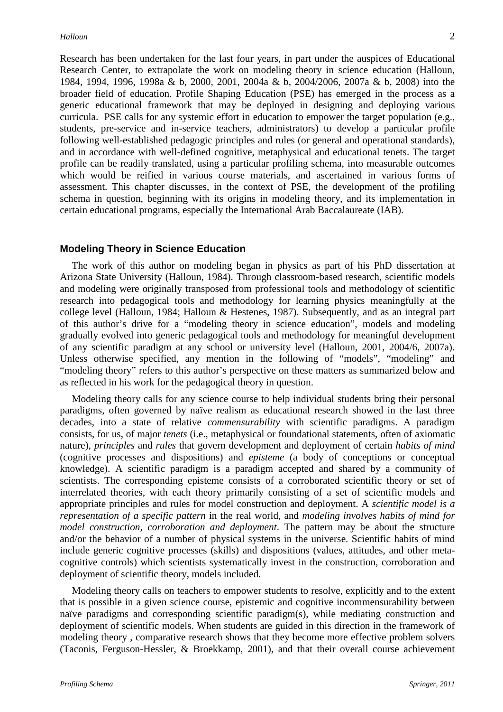Research has been undertaken for the last four years, in part under the auspices of Educational Research Center, to extrapolate the work on modeling theory in science education (Halloun, 1984, 1994, 1996, 1998a & b, 2000, 2001, 2004a & b, 2004/2006, 2007a & b, 2008) into the broader field of education. Profile Shaping Education (PSE) has emerged in the process as a generic educational framework that may be deployed in designing and deploying various curricula. PSE calls for any systemic effort in education to empower the target population (e.g., students, pre-service and in-service teachers, administrators) to develop a particular profile following well-established pedagogic principles and rules (or general and operational standards), and in accordance with well-defined cognitive, metaphysical and educational tenets. The target profile can be readily translated, using a particular profiling schema, into measurable outcomes which would be reified in various course materials, and ascertained in various forms of assessment. This chapter discusses, in the context of PSE, the development of the profiling schema in question, beginning with its origins in modeling theory, and its implementation in certain educational programs, especially the International Arab Baccalaureate (IAB).

#### **Modeling Theory in Science Education**

The work of this author on modeling began in physics as part of his PhD dissertation at Arizona State University (Halloun, 1984). Through classroom-based research, scientific models and modeling were originally transposed from professional tools and methodology of scientific research into pedagogical tools and methodology for learning physics meaningfully at the college level (Halloun, 1984; Halloun & Hestenes, 1987). Subsequently, and as an integral part of this author's drive for a "modeling theory in science education", models and modeling gradually evolved into generic pedagogical tools and methodology for meaningful development of any scientific paradigm at any school or university level (Halloun, 2001, 2004/6, 2007a). Unless otherwise specified, any mention in the following of "models", "modeling" and "modeling theory" refers to this author's perspective on these matters as summarized below and as reflected in his work for the pedagogical theory in question.

Modeling theory calls for any science course to help individual students bring their personal paradigms, often governed by naïve realism as educational research showed in the last three decades, into a state of relative *commensurability* with scientific paradigms. A paradigm consists, for us, of major *tenets* (i.e., metaphysical or foundational statements, often of axiomatic nature), *principles* and *rules* that govern development and deployment of certain *habits of mind* (cognitive processes and dispositions) and *episteme* (a body of conceptions or conceptual knowledge). A scientific paradigm is a paradigm accepted and shared by a community of scientists. The corresponding episteme consists of a corroborated scientific theory or set of interrelated theories, with each theory primarily consisting of a set of scientific models and appropriate principles and rules for model construction and deployment. A *scientific model is a representation of a specific pattern* in the real world, and *modeling involves habits of mind for model construction, corroboration and deployment*. The pattern may be about the structure and/or the behavior of a number of physical systems in the universe. Scientific habits of mind include generic cognitive processes (skills) and dispositions (values, attitudes, and other metacognitive controls) which scientists systematically invest in the construction, corroboration and deployment of scientific theory, models included.

Modeling theory calls on teachers to empower students to resolve, explicitly and to the extent that is possible in a given science course, epistemic and cognitive incommensurability between naïve paradigms and corresponding scientific paradigm(s), while mediating construction and deployment of scientific models. When students are guided in this direction in the framework of modeling theory , comparative research shows that they become more effective problem solvers (Taconis, Ferguson-Hessler, & Broekkamp, 2001), and that their overall course achievement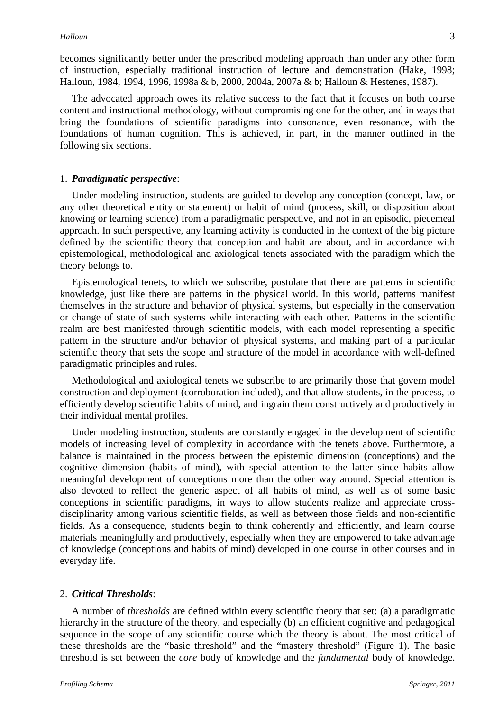becomes significantly better under the prescribed modeling approach than under any other form of instruction, especially traditional instruction of lecture and demonstration (Hake, 1998; Halloun, 1984, 1994, 1996, 1998a & b, 2000, 2004a, 2007a & b; Halloun & Hestenes, 1987).

The advocated approach owes its relative success to the fact that it focuses on both course content and instructional methodology, without compromising one for the other, and in ways that bring the foundations of scientific paradigms into consonance, even resonance, with the foundations of human cognition. This is achieved, in part, in the manner outlined in the following six sections.

#### 1. *Paradigmatic perspective*:

Under modeling instruction, students are guided to develop any conception (concept, law, or any other theoretical entity or statement) or habit of mind (process, skill, or disposition about knowing or learning science) from a paradigmatic perspective, and not in an episodic, piecemeal approach. In such perspective, any learning activity is conducted in the context of the big picture defined by the scientific theory that conception and habit are about, and in accordance with epistemological, methodological and axiological tenets associated with the paradigm which the theory belongs to.

Epistemological tenets, to which we subscribe, postulate that there are patterns in scientific knowledge, just like there are patterns in the physical world. In this world, patterns manifest themselves in the structure and behavior of physical systems, but especially in the conservation or change of state of such systems while interacting with each other. Patterns in the scientific realm are best manifested through scientific models, with each model representing a specific pattern in the structure and/or behavior of physical systems, and making part of a particular scientific theory that sets the scope and structure of the model in accordance with well-defined paradigmatic principles and rules.

Methodological and axiological tenets we subscribe to are primarily those that govern model construction and deployment (corroboration included), and that allow students, in the process, to efficiently develop scientific habits of mind, and ingrain them constructively and productively in their individual mental profiles.

Under modeling instruction, students are constantly engaged in the development of scientific models of increasing level of complexity in accordance with the tenets above. Furthermore, a balance is maintained in the process between the epistemic dimension (conceptions) and the cognitive dimension (habits of mind), with special attention to the latter since habits allow meaningful development of conceptions more than the other way around. Special attention is also devoted to reflect the generic aspect of all habits of mind, as well as of some basic conceptions in scientific paradigms, in ways to allow students realize and appreciate crossdisciplinarity among various scientific fields, as well as between those fields and non-scientific fields. As a consequence, students begin to think coherently and efficiently, and learn course materials meaningfully and productively, especially when they are empowered to take advantage of knowledge (conceptions and habits of mind) developed in one course in other courses and in everyday life.

#### 2. *Critical Thresholds*:

A number of *thresholds* are defined within every scientific theory that set: (a) a paradigmatic hierarchy in the structure of the theory, and especially (b) an efficient cognitive and pedagogical sequence in the scope of any scientific course which the theory is about. The most critical of these thresholds are the "basic threshold" and the "mastery threshold" (Figure 1). The basic threshold is set between the *core* body of knowledge and the *fundamental* body of knowledge.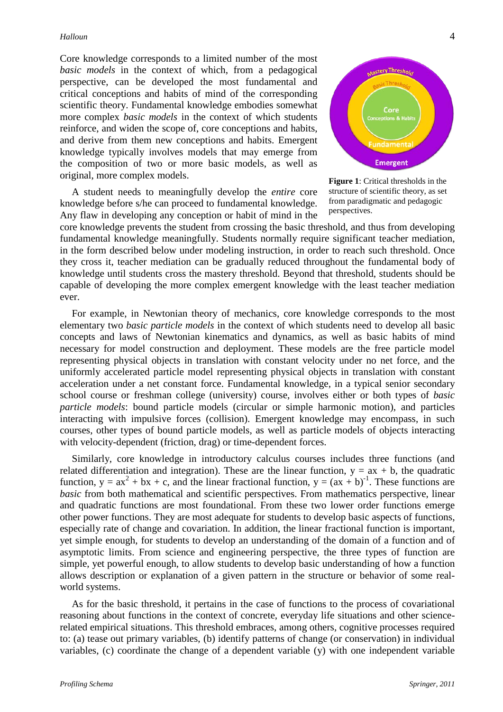#### *Halloun* 4

Core knowledge corresponds to a limited number of the most *basic models* in the context of which, from a pedagogical perspective, can be developed the most fundamental and critical conceptions and habits of mind of the corresponding scientific theory. Fundamental knowledge embodies somewhat more complex *basic models* in the context of which students reinforce, and widen the scope of, core conceptions and habits, and derive from them new conceptions and habits. Emergent knowledge typically involves models that may emerge from the composition of two or more basic models, as well as original, more complex models.

A student needs to meaningfully develop the *entire* core knowledge before s/he can proceed to fundamental knowledge. Any flaw in developing any conception or habit of mind in the



**Figure 1**: Critical thresholds in the structure of scientific theory, as set from paradigmatic and pedagogic perspectives.

core knowledge prevents the student from crossing the basic threshold, and thus from developing fundamental knowledge meaningfully. Students normally require significant teacher mediation, in the form described below under modeling instruction, in order to reach such threshold. Once they cross it, teacher mediation can be gradually reduced throughout the fundamental body of knowledge until students cross the mastery threshold. Beyond that threshold, students should be capable of developing the more complex emergent knowledge with the least teacher mediation ever.

For example, in Newtonian theory of mechanics, core knowledge corresponds to the most elementary two *basic particle models* in the context of which students need to develop all basic concepts and laws of Newtonian kinematics and dynamics, as well as basic habits of mind necessary for model construction and deployment. These models are the free particle model representing physical objects in translation with constant velocity under no net force, and the uniformly accelerated particle model representing physical objects in translation with constant acceleration under a net constant force. Fundamental knowledge, in a typical senior secondary school course or freshman college (university) course, involves either or both types of *basic particle models*: bound particle models (circular or simple harmonic motion), and particles interacting with impulsive forces (collision). Emergent knowledge may encompass, in such courses, other types of bound particle models, as well as particle models of objects interacting with velocity-dependent (friction, drag) or time-dependent forces.

Similarly, core knowledge in introductory calculus courses includes three functions (and related differentiation and integration). These are the linear function,  $y = ax + b$ , the quadratic function,  $y = ax^2 + bx + c$ , and the linear fractional function,  $y = (ax + b)^{-1}$ . These functions are *basic* from both mathematical and scientific perspectives. From mathematics perspective, linear and quadratic functions are most foundational. From these two lower order functions emerge other power functions. They are most adequate for students to develop basic aspects of functions, especially rate of change and covariation. In addition, the linear fractional function is important, yet simple enough, for students to develop an understanding of the domain of a function and of asymptotic limits. From science and engineering perspective, the three types of function are simple, yet powerful enough, to allow students to develop basic understanding of how a function allows description or explanation of a given pattern in the structure or behavior of some realworld systems.

As for the basic threshold, it pertains in the case of functions to the process of covariational reasoning about functions in the context of concrete, everyday life situations and other sciencerelated empirical situations. This threshold embraces, among others, cognitive processes required to: (a) tease out primary variables, (b) identify patterns of change (or conservation) in individual variables, (c) coordinate the change of a dependent variable (y) with one independent variable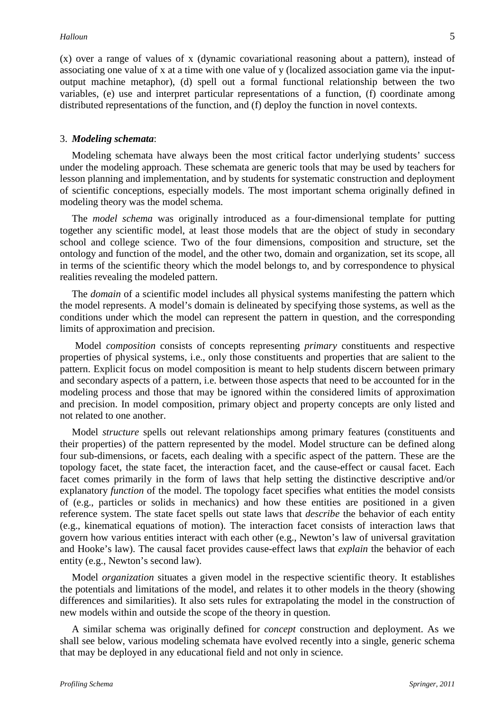(x) over a range of values of x (dynamic covariational reasoning about a pattern), instead of associating one value of x at a time with one value of y (localized association game via the inputoutput machine metaphor), (d) spell out a formal functional relationship between the two variables, (e) use and interpret particular representations of a function, (f) coordinate among distributed representations of the function, and (f) deploy the function in novel contexts.

#### 3. *Modeling schemata*:

Modeling schemata have always been the most critical factor underlying students' success under the modeling approach. These schemata are generic tools that may be used by teachers for lesson planning and implementation, and by students for systematic construction and deployment of scientific conceptions, especially models. The most important schema originally defined in modeling theory was the model schema.

The *model schema* was originally introduced as a four-dimensional template for putting together any scientific model, at least those models that are the object of study in secondary school and college science. Two of the four dimensions, composition and structure, set the ontology and function of the model, and the other two, domain and organization, set its scope, all in terms of the scientific theory which the model belongs to, and by correspondence to physical realities revealing the modeled pattern.

The *domain* of a scientific model includes all physical systems manifesting the pattern which the model represents. A model's domain is delineated by specifying those systems, as well as the conditions under which the model can represent the pattern in question, and the corresponding limits of approximation and precision.

Model *composition* consists of concepts representing *primary* constituents and respective properties of physical systems, i.e., only those constituents and properties that are salient to the pattern. Explicit focus on model composition is meant to help students discern between primary and secondary aspects of a pattern, i.e. between those aspects that need to be accounted for in the modeling process and those that may be ignored within the considered limits of approximation and precision. In model composition, primary object and property concepts are only listed and not related to one another.

Model *structure* spells out relevant relationships among primary features (constituents and their properties) of the pattern represented by the model. Model structure can be defined along four sub-dimensions, or facets, each dealing with a specific aspect of the pattern. These are the topology facet, the state facet, the interaction facet, and the cause-effect or causal facet. Each facet comes primarily in the form of laws that help setting the distinctive descriptive and/or explanatory *function* of the model. The topology facet specifies what entities the model consists of (e.g., particles or solids in mechanics) and how these entities are positioned in a given reference system. The state facet spells out state laws that *describe* the behavior of each entity (e.g., kinematical equations of motion). The interaction facet consists of interaction laws that govern how various entities interact with each other (e.g., Newton's law of universal gravitation and Hooke's law). The causal facet provides cause-effect laws that *explain* the behavior of each entity (e.g., Newton's second law).

Model *organization* situates a given model in the respective scientific theory. It establishes the potentials and limitations of the model, and relates it to other models in the theory (showing differences and similarities). It also sets rules for extrapolating the model in the construction of new models within and outside the scope of the theory in question.

A similar schema was originally defined for *concept* construction and deployment. As we shall see below, various modeling schemata have evolved recently into a single, generic schema that may be deployed in any educational field and not only in science.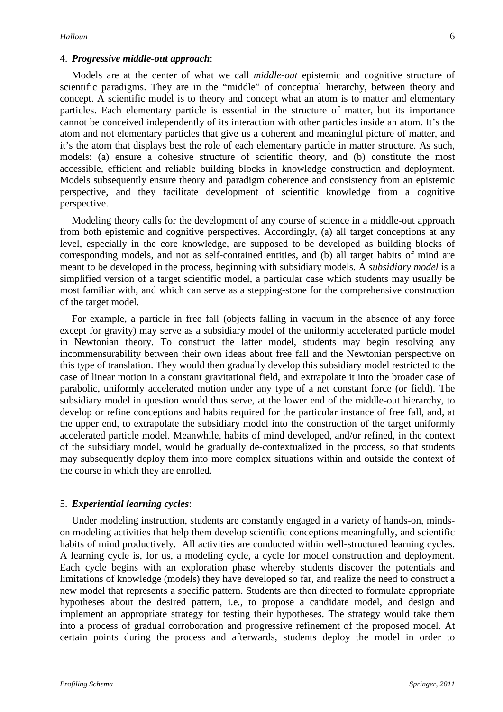#### 4. *Progressive middle-out approach*:

Models are at the center of what we call *middle-out* epistemic and cognitive structure of scientific paradigms. They are in the "middle" of conceptual hierarchy, between theory and concept. A scientific model is to theory and concept what an atom is to matter and elementary particles. Each elementary particle is essential in the structure of matter, but its importance cannot be conceived independently of its interaction with other particles inside an atom. It's the atom and not elementary particles that give us a coherent and meaningful picture of matter, and it's the atom that displays best the role of each elementary particle in matter structure. As such, models: (a) ensure a cohesive structure of scientific theory, and (b) constitute the most accessible, efficient and reliable building blocks in knowledge construction and deployment. Models subsequently ensure theory and paradigm coherence and consistency from an epistemic perspective, and they facilitate development of scientific knowledge from a cognitive perspective.

Modeling theory calls for the development of any course of science in a middle-out approach from both epistemic and cognitive perspectives. Accordingly, (a) all target conceptions at any level, especially in the core knowledge, are supposed to be developed as building blocks of corresponding models, and not as self-contained entities, and (b) all target habits of mind are meant to be developed in the process, beginning with subsidiary models. A *subsidiary model* is a simplified version of a target scientific model, a particular case which students may usually be most familiar with, and which can serve as a stepping-stone for the comprehensive construction of the target model.

For example, a particle in free fall (objects falling in vacuum in the absence of any force except for gravity) may serve as a subsidiary model of the uniformly accelerated particle model in Newtonian theory. To construct the latter model, students may begin resolving any incommensurability between their own ideas about free fall and the Newtonian perspective on this type of translation. They would then gradually develop this subsidiary model restricted to the case of linear motion in a constant gravitational field, and extrapolate it into the broader case of parabolic, uniformly accelerated motion under any type of a net constant force (or field). The subsidiary model in question would thus serve, at the lower end of the middle-out hierarchy, to develop or refine conceptions and habits required for the particular instance of free fall, and, at the upper end, to extrapolate the subsidiary model into the construction of the target uniformly accelerated particle model. Meanwhile, habits of mind developed, and/or refined, in the context of the subsidiary model, would be gradually de-contextualized in the process, so that students may subsequently deploy them into more complex situations within and outside the context of the course in which they are enrolled.

#### 5. *Experiential learning cycles*:

Under modeling instruction, students are constantly engaged in a variety of hands-on, mindson modeling activities that help them develop scientific conceptions meaningfully, and scientific habits of mind productively. All activities are conducted within well-structured learning cycles. A learning cycle is, for us, a modeling cycle, a cycle for model construction and deployment. Each cycle begins with an exploration phase whereby students discover the potentials and limitations of knowledge (models) they have developed so far, and realize the need to construct a new model that represents a specific pattern. Students are then directed to formulate appropriate hypotheses about the desired pattern, i.e., to propose a candidate model, and design and implement an appropriate strategy for testing their hypotheses. The strategy would take them into a process of gradual corroboration and progressive refinement of the proposed model. At certain points during the process and afterwards, students deploy the model in order to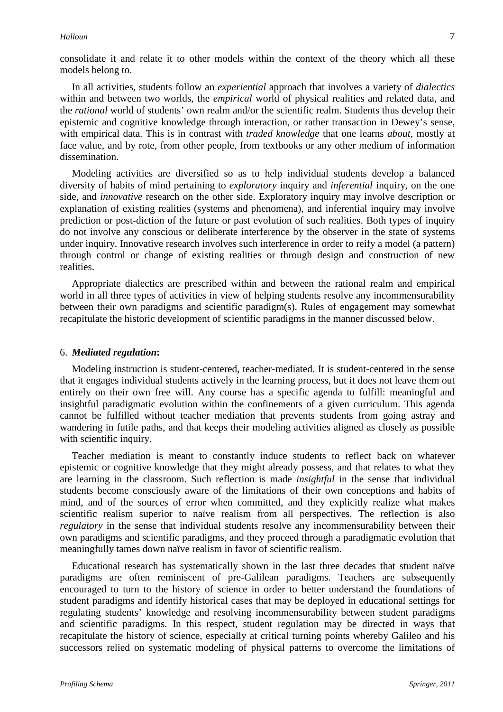consolidate it and relate it to other models within the context of the theory which all these models belong to.

In all activities, students follow an *experiential* approach that involves a variety of *dialectics* within and between two worlds, the *empirical* world of physical realities and related data, and the *rational* world of students' own realm and/or the scientific realm. Students thus develop their epistemic and cognitive knowledge through interaction, or rather transaction in Dewey's sense, with empirical data. This is in contrast with *traded knowledge* that one learns *about*, mostly at face value, and by rote, from other people, from textbooks or any other medium of information dissemination.

Modeling activities are diversified so as to help individual students develop a balanced diversity of habits of mind pertaining to *exploratory* inquiry and *inferential* inquiry, on the one side, and *innovative* research on the other side. Exploratory inquiry may involve description or explanation of existing realities (systems and phenomena), and inferential inquiry may involve prediction or post-diction of the future or past evolution of such realities. Both types of inquiry do not involve any conscious or deliberate interference by the observer in the state of systems under inquiry. Innovative research involves such interference in order to reify a model (a pattern) through control or change of existing realities or through design and construction of new realities.

Appropriate dialectics are prescribed within and between the rational realm and empirical world in all three types of activities in view of helping students resolve any incommensurability between their own paradigms and scientific paradigm(s). Rules of engagement may somewhat recapitulate the historic development of scientific paradigms in the manner discussed below.

#### 6. *Mediated regulation***:**

Modeling instruction is student-centered, teacher-mediated. It is student-centered in the sense that it engages individual students actively in the learning process, but it does not leave them out entirely on their own free will. Any course has a specific agenda to fulfill: meaningful and insightful paradigmatic evolution within the confinements of a given curriculum. This agenda cannot be fulfilled without teacher mediation that prevents students from going astray and wandering in futile paths, and that keeps their modeling activities aligned as closely as possible with scientific inquiry.

Teacher mediation is meant to constantly induce students to reflect back on whatever epistemic or cognitive knowledge that they might already possess, and that relates to what they are learning in the classroom. Such reflection is made *insightful* in the sense that individual students become consciously aware of the limitations of their own conceptions and habits of mind, and of the sources of error when committed, and they explicitly realize what makes scientific realism superior to naïve realism from all perspectives. The reflection is also *regulatory* in the sense that individual students resolve any incommensurability between their own paradigms and scientific paradigms, and they proceed through a paradigmatic evolution that meaningfully tames down naïve realism in favor of scientific realism.

Educational research has systematically shown in the last three decades that student naïve paradigms are often reminiscent of pre-Galilean paradigms. Teachers are subsequently encouraged to turn to the history of science in order to better understand the foundations of student paradigms and identify historical cases that may be deployed in educational settings for regulating students' knowledge and resolving incommensurability between student paradigms and scientific paradigms. In this respect, student regulation may be directed in ways that recapitulate the history of science, especially at critical turning points whereby Galileo and his successors relied on systematic modeling of physical patterns to overcome the limitations of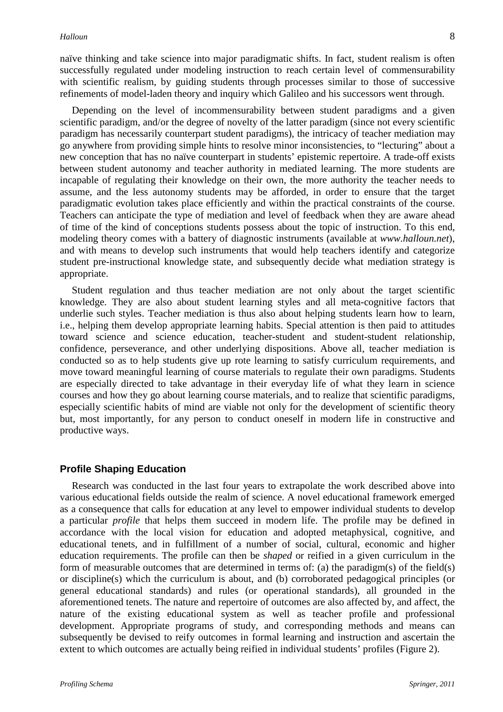naïve thinking and take science into major paradigmatic shifts. In fact, student realism is often successfully regulated under modeling instruction to reach certain level of commensurability with scientific realism, by guiding students through processes similar to those of successive refinements of model-laden theory and inquiry which Galileo and his successors went through.

Depending on the level of incommensurability between student paradigms and a given scientific paradigm, and/or the degree of novelty of the latter paradigm (since not every scientific paradigm has necessarily counterpart student paradigms), the intricacy of teacher mediation may go anywhere from providing simple hints to resolve minor inconsistencies, to "lecturing" about a new conception that has no naïve counterpart in students' epistemic repertoire. A trade-off exists between student autonomy and teacher authority in mediated learning. The more students are incapable of regulating their knowledge on their own, the more authority the teacher needs to assume, and the less autonomy students may be afforded, in order to ensure that the target paradigmatic evolution takes place efficiently and within the practical constraints of the course. Teachers can anticipate the type of mediation and level of feedback when they are aware ahead of time of the kind of conceptions students possess about the topic of instruction. To this end, modeling theory comes with a battery of diagnostic instruments (available at *www.halloun.net*), and with means to develop such instruments that would help teachers identify and categorize student pre-instructional knowledge state, and subsequently decide what mediation strategy is appropriate.

Student regulation and thus teacher mediation are not only about the target scientific knowledge. They are also about student learning styles and all meta-cognitive factors that underlie such styles. Teacher mediation is thus also about helping students learn how to learn, i.e., helping them develop appropriate learning habits. Special attention is then paid to attitudes toward science and science education, teacher-student and student-student relationship, confidence, perseverance, and other underlying dispositions. Above all, teacher mediation is conducted so as to help students give up rote learning to satisfy curriculum requirements, and move toward meaningful learning of course materials to regulate their own paradigms. Students are especially directed to take advantage in their everyday life of what they learn in science courses and how they go about learning course materials, and to realize that scientific paradigms, especially scientific habits of mind are viable not only for the development of scientific theory but, most importantly, for any person to conduct oneself in modern life in constructive and productive ways.

#### **Profile Shaping Education**

Research was conducted in the last four years to extrapolate the work described above into various educational fields outside the realm of science. A novel educational framework emerged as a consequence that calls for education at any level to empower individual students to develop a particular *profile* that helps them succeed in modern life. The profile may be defined in accordance with the local vision for education and adopted metaphysical, cognitive, and educational tenets, and in fulfillment of a number of social, cultural, economic and higher education requirements. The profile can then be *shaped* or reified in a given curriculum in the form of measurable outcomes that are determined in terms of: (a) the paradigm(s) of the field(s) or discipline(s) which the curriculum is about, and (b) corroborated pedagogical principles (or general educational standards) and rules (or operational standards), all grounded in the aforementioned tenets. The nature and repertoire of outcomes are also affected by, and affect, the nature of the existing educational system as well as teacher profile and professional development. Appropriate programs of study, and corresponding methods and means can subsequently be devised to reify outcomes in formal learning and instruction and ascertain the extent to which outcomes are actually being reified in individual students' profiles (Figure 2).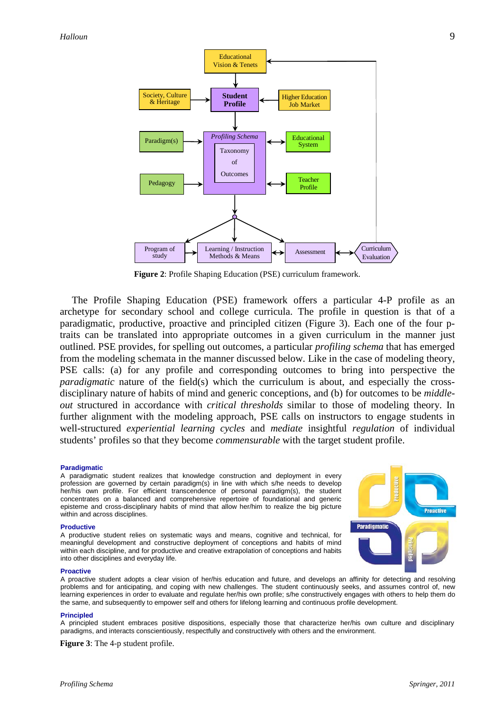

**Figure 2**: Profile Shaping Education (PSE) curriculum framework.

The Profile Shaping Education (PSE) framework offers a particular 4-P profile as an archetype for secondary school and college curricula. The profile in question is that of a paradigmatic, productive, proactive and principled citizen (Figure 3). Each one of the four ptraits can be translated into appropriate outcomes in a given curriculum in the manner just outlined. PSE provides, for spelling out outcomes, a particular *profiling schema* that has emerged from the modeling schemata in the manner discussed below. Like in the case of modeling theory, PSE calls: (a) for any profile and corresponding outcomes to bring into perspective the *paradigmatic* nature of the field(s) which the curriculum is about, and especially the crossdisciplinary nature of habits of mind and generic conceptions, and (b) for outcomes to be *middleout* structured in accordance with *critical thresholds* similar to those of modeling theory. In further alignment with the modeling approach, PSE calls on instructors to engage students in well-structured *experiential learning cycles* and *mediate* insightful *regulation* of individual students' profiles so that they become *commensurable* with the target student profile.

#### **Paradigmatic**

A paradigmatic student realizes that knowledge construction and deployment in every profession are governed by certain paradigm(s) in line with which s/he needs to develop her/his own profile. For efficient transcendence of personal paradigm(s), the student concentrates on a balanced and comprehensive repertoire of foundational and generic episteme and cross-disciplinary habits of mind that allow her/him to realize the big picture within and across disciplines.

#### **Productive**

A productive student relies on systematic ways and means, cognitive and technical, for meaningful development and constructive deployment of conceptions and habits of mind within each discipline, and for productive and creative extrapolation of conceptions and habits into other disciplines and everyday life.



#### **Proactive**

A proactive student adopts a clear vision of her/his education and future, and develops an affinity for detecting and resolving problems and for anticipating, and coping with new challenges. The student continuously seeks, and assumes control of, new learning experiences in order to evaluate and regulate her/his own profile; s/he constructively engages with others to help them do the same, and subsequently to empower self and others for lifelong learning and continuous profile development.

#### **Principled**

A principled student embraces positive dispositions, especially those that characterize her/his own culture and disciplinary paradigms, and interacts conscientiously, respectfully and constructively with others and the environment.

**Figure 3**: The 4-p student profile.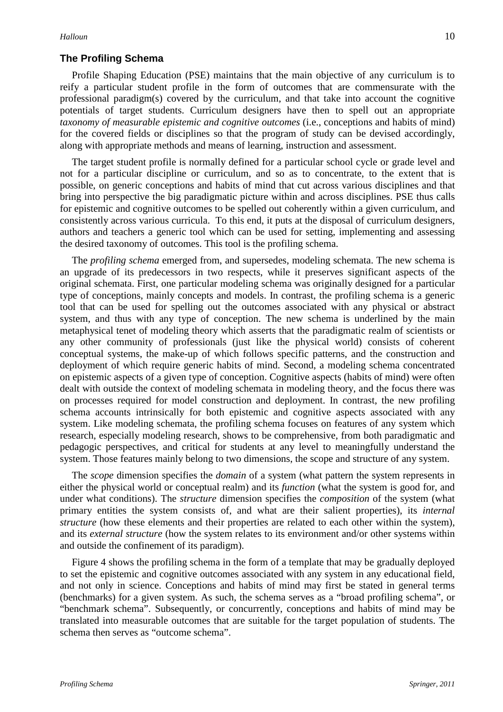## **The Profiling Schema**

Profile Shaping Education (PSE) maintains that the main objective of any curriculum is to reify a particular student profile in the form of outcomes that are commensurate with the professional paradigm(s) covered by the curriculum, and that take into account the cognitive potentials of target students. Curriculum designers have then to spell out an appropriate *taxonomy of measurable epistemic and cognitive outcomes* (i.e., conceptions and habits of mind) for the covered fields or disciplines so that the program of study can be devised accordingly, along with appropriate methods and means of learning, instruction and assessment.

The target student profile is normally defined for a particular school cycle or grade level and not for a particular discipline or curriculum, and so as to concentrate, to the extent that is possible, on generic conceptions and habits of mind that cut across various disciplines and that bring into perspective the big paradigmatic picture within and across disciplines. PSE thus calls for epistemic and cognitive outcomes to be spelled out coherently within a given curriculum, and consistently across various curricula. To this end, it puts at the disposal of curriculum designers, authors and teachers a generic tool which can be used for setting, implementing and assessing the desired taxonomy of outcomes. This tool is the profiling schema.

The *profiling schema* emerged from, and supersedes, modeling schemata. The new schema is an upgrade of its predecessors in two respects, while it preserves significant aspects of the original schemata. First, one particular modeling schema was originally designed for a particular type of conceptions, mainly concepts and models. In contrast, the profiling schema is a generic tool that can be used for spelling out the outcomes associated with any physical or abstract system, and thus with any type of conception. The new schema is underlined by the main metaphysical tenet of modeling theory which asserts that the paradigmatic realm of scientists or any other community of professionals (just like the physical world) consists of coherent conceptual systems, the make-up of which follows specific patterns, and the construction and deployment of which require generic habits of mind. Second, a modeling schema concentrated on epistemic aspects of a given type of conception. Cognitive aspects (habits of mind) were often dealt with outside the context of modeling schemata in modeling theory, and the focus there was on processes required for model construction and deployment. In contrast, the new profiling schema accounts intrinsically for both epistemic and cognitive aspects associated with any system. Like modeling schemata, the profiling schema focuses on features of any system which research, especially modeling research, shows to be comprehensive, from both paradigmatic and pedagogic perspectives, and critical for students at any level to meaningfully understand the system. Those features mainly belong to two dimensions, the scope and structure of any system.

The *scope* dimension specifies the *domain* of a system (what pattern the system represents in either the physical world or conceptual realm) and its *function* (what the system is good for, and under what conditions). The *structure* dimension specifies the *composition* of the system (what primary entities the system consists of, and what are their salient properties), its *internal structure* (how these elements and their properties are related to each other within the system), and its *external structure* (how the system relates to its environment and/or other systems within and outside the confinement of its paradigm).

Figure 4 shows the profiling schema in the form of a template that may be gradually deployed to set the epistemic and cognitive outcomes associated with any system in any educational field, and not only in science. Conceptions and habits of mind may first be stated in general terms (benchmarks) for a given system. As such, the schema serves as a "broad profiling schema", or "benchmark schema". Subsequently, or concurrently, conceptions and habits of mind may be translated into measurable outcomes that are suitable for the target population of students. The schema then serves as "outcome schema".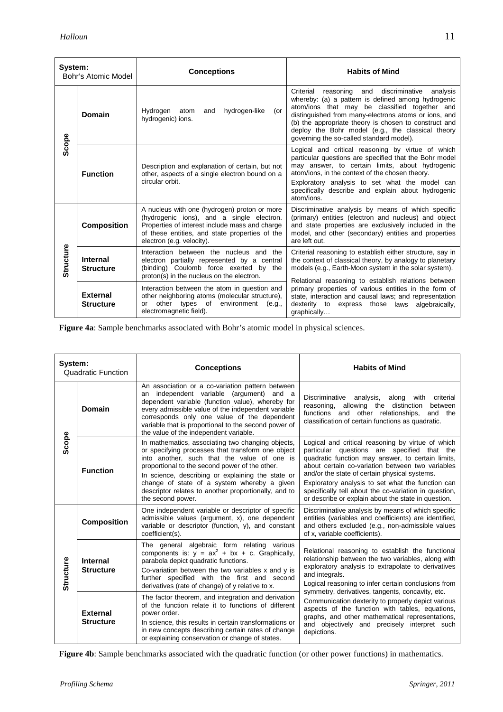| System:<br>Bohr's Atomic Model |                                     | <b>Conceptions</b>                                                                                                                                                                                                         | <b>Habits of Mind</b>                                                                                                                                                                                                                                                                                                                                                             |
|--------------------------------|-------------------------------------|----------------------------------------------------------------------------------------------------------------------------------------------------------------------------------------------------------------------------|-----------------------------------------------------------------------------------------------------------------------------------------------------------------------------------------------------------------------------------------------------------------------------------------------------------------------------------------------------------------------------------|
| Scope                          | Domain                              | hydrogen-like<br>Hydrogen<br>atom<br>and<br>(or<br>hydrogenic) ions.                                                                                                                                                       | Criterial<br>reasoning and<br>discriminative<br>analysis<br>whereby: (a) a pattern is defined among hydrogenic<br>atom/ions that may be classified together and<br>distinguished from many-electrons atoms or ions, and<br>(b) the appropriate theory is chosen to construct and<br>deploy the Bohr model (e.g., the classical theory<br>governing the so-called standard model). |
|                                | <b>Function</b>                     | Description and explanation of certain, but not<br>other, aspects of a single electron bound on a<br>circular orbit.                                                                                                       | Logical and critical reasoning by virtue of which<br>particular questions are specified that the Bohr model<br>may answer, to certain limits, about hydrogenic<br>atom/ions, in the context of the chosen theory.<br>Exploratory analysis to set what the model can<br>specifically describe and explain about hydrogenic<br>atom/ions.                                           |
| <b>Structure</b>               | <b>Composition</b>                  | A nucleus with one (hydrogen) proton or more<br>(hydrogenic ions), and a single electron.<br>Properties of interest include mass and charge<br>of these entities, and state properties of the<br>electron (e.g. velocity). | Discriminative analysis by means of which specific<br>(primary) entities (electron and nucleus) and object<br>and state properties are exclusively included in the<br>model, and other (secondary) entities and properties<br>are left out.                                                                                                                                       |
|                                | Internal<br><b>Structure</b>        | Interaction between the nucleus and the<br>electron partially represented by a central<br>(binding) Coulomb force exerted by the<br>proton(s) in the nucleus on the electron.                                              | Criterial reasoning to establish either structure, say in<br>the context of classical theory, by analogy to planetary<br>models (e.g., Earth-Moon system in the solar system).<br>Relational reasoning to establish relations between                                                                                                                                             |
|                                | <b>External</b><br><b>Structure</b> | Interaction between the atom in question and<br>other neighboring atoms (molecular structure).<br>other types of environment<br>(e.g.,<br>or<br>electromagnetic field).                                                    | primary properties of various entities in the form of<br>state, interaction and causal laws; and representation<br>dexterity to express those laws<br>algebraically,<br>graphically                                                                                                                                                                                               |

**Figure 4a**: Sample benchmarks associated with Bohr's atomic model in physical sciences.

| System:<br>Quadratic Function |                                     | <b>Conceptions</b>                                                                                                                                                                                                                                                                                                                                                                       | <b>Habits of Mind</b>                                                                                                                                                                                                                                                                                                                                                                                                           |
|-------------------------------|-------------------------------------|------------------------------------------------------------------------------------------------------------------------------------------------------------------------------------------------------------------------------------------------------------------------------------------------------------------------------------------------------------------------------------------|---------------------------------------------------------------------------------------------------------------------------------------------------------------------------------------------------------------------------------------------------------------------------------------------------------------------------------------------------------------------------------------------------------------------------------|
| Scope                         | Domain                              | An association or a co-variation pattern between<br>an independent variable (argument)<br>and a<br>dependent variable (function value), whereby for<br>every admissible value of the independent variable<br>corresponds only one value of the dependent<br>variable that is proportional to the second power of<br>the value of the independent variable.                               | Discriminative<br>analysis,<br>along<br>criterial<br>with<br>allowing the distinction<br>reasoning,<br>between<br>functions and other relationships,<br>and the<br>classification of certain functions as quadratic.                                                                                                                                                                                                            |
|                               | <b>Function</b>                     | In mathematics, associating two changing objects,<br>or specifying processes that transform one object<br>into another, such that the value of one is<br>proportional to the second power of the other.<br>In science, describing or explaining the state or<br>change of state of a system whereby a given<br>descriptor relates to another proportionally, and to<br>the second power. | Logical and critical reasoning by virtue of which<br>particular questions are specified that the<br>quadratic function may answer, to certain limits,<br>about certain co-variation between two variables<br>and/or the state of certain physical systems.<br>Exploratory analysis to set what the function can<br>specifically tell about the co-variation in question,<br>or describe or explain about the state in question. |
| <b>Structure</b>              | <b>Composition</b>                  | One independent variable or descriptor of specific<br>admissible values (argument, x), one dependent<br>variable or descriptor (function, y), and constant<br>coefficient(s).                                                                                                                                                                                                            | Discriminative analysis by means of which specific<br>entities (variables and coefficients) are identified,<br>and others excluded (e.g., non-admissible values<br>of x, variable coefficients).                                                                                                                                                                                                                                |
|                               | Internal<br><b>Structure</b>        | The general algebraic form relating various<br>components is: $y = ax^2 + bx + c$ . Graphically,<br>parabola depict quadratic functions.<br>Co-variation between the two variables x and y is<br>further specified with the first and second<br>derivatives (rate of change) of y relative to x.                                                                                         | Relational reasoning to establish the functional<br>relationship between the two variables, along with<br>exploratory analysis to extrapolate to derivatives<br>and integrals.<br>Logical reasoning to infer certain conclusions from<br>symmetry, derivatives, tangents, concavity, etc.                                                                                                                                       |
|                               | <b>External</b><br><b>Structure</b> | The factor theorem, and integration and derivation<br>of the function relate it to functions of different<br>power order.<br>In science, this results in certain transformations or<br>in new concepts describing certain rates of change<br>or explaining conservation or change of states.                                                                                             | Communication dexterity to properly depict various<br>aspects of the function with tables, equations,<br>graphs, and other mathematical representations,<br>and objectively and precisely interpret such<br>depictions.                                                                                                                                                                                                         |

**Figure 4b**: Sample benchmarks associated with the quadratic function (or other power functions) in mathematics.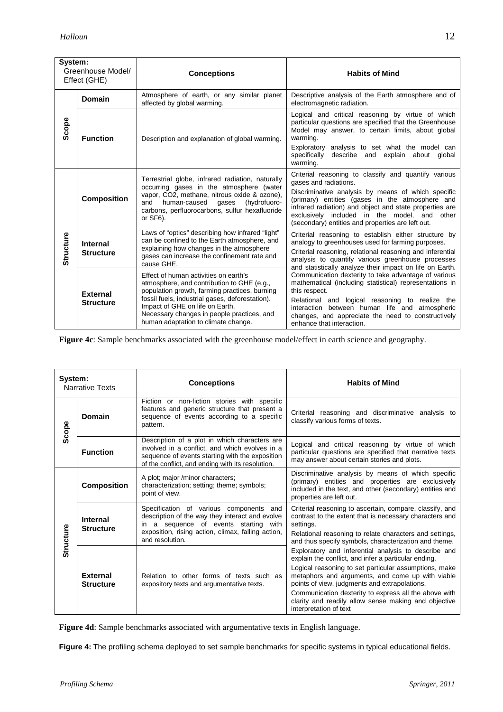| System:<br>Greenhouse Model/<br>Effect (GHE) |                                     | <b>Conceptions</b>                                                                                                                                                                                                                                                                                              | <b>Habits of Mind</b>                                                                                                                                                                                                                                                                                                                                  |
|----------------------------------------------|-------------------------------------|-----------------------------------------------------------------------------------------------------------------------------------------------------------------------------------------------------------------------------------------------------------------------------------------------------------------|--------------------------------------------------------------------------------------------------------------------------------------------------------------------------------------------------------------------------------------------------------------------------------------------------------------------------------------------------------|
| Scope                                        | Domain                              | Atmosphere of earth, or any similar planet<br>affected by global warming.                                                                                                                                                                                                                                       | Descriptive analysis of the Earth atmosphere and of<br>electromagnetic radiation.                                                                                                                                                                                                                                                                      |
|                                              | <b>Function</b>                     | Description and explanation of global warming.                                                                                                                                                                                                                                                                  | Logical and critical reasoning by virtue of which<br>particular questions are specified that the Greenhouse<br>Model may answer, to certain limits, about global<br>warming.<br>Exploratory analysis to set what the model can<br>specifically describe and explain about global<br>warming.                                                           |
| <b>Structure</b>                             | <b>Composition</b>                  | Terrestrial globe, infrared radiation, naturally<br>occurring gases in the atmosphere (water<br>vapor, CO2, methane, nitrous oxide & ozone),<br>human-caused<br>gases (hydrofuoro-<br>and<br>carbons, perfluorocarbons, sulfur hexafluoride<br>or SF6).                                                         | Criterial reasoning to classify and quantify various<br>gases and radiations.<br>Discriminative analysis by means of which specific<br>(primary) entities (gases in the atmosphere and<br>infrared radiation) and object and state properties are<br>exclusively included in the model, and other<br>(secondary) entities and properties are left out. |
|                                              | <b>Internal</b><br><b>Structure</b> | Laws of "optics" describing how infrared "light"<br>can be confined to the Earth atmosphere, and<br>explaining how changes in the atmosphere<br>gases can increase the confinement rate and<br>cause GHE.                                                                                                       | Criterial reasoning to establish either structure by<br>analogy to greenhouses used for farming purposes.<br>Criterial reasoning, relational reasoning and inferential<br>analysis to quantify various greenhouse processes<br>and statistically analyze their impact on life on Earth.                                                                |
|                                              | <b>External</b><br><b>Structure</b> | Effect of human activities on earth's<br>atmosphere, and contribution to GHE (e.g.,<br>population growth, farming practices, burning<br>fossil fuels, industrial gases, deforestation).<br>Impact of GHE on life on Earth.<br>Necessary changes in people practices, and<br>human adaptation to climate change. | Communication dexterity to take advantage of various<br>mathematical (including statistical) representations in<br>this respect.<br>Relational and logical reasoning to realize the<br>interaction between human life and atmospheric<br>changes, and appreciate the need to constructively<br>enhance that interaction.                               |

**Figure 4c**: Sample benchmarks associated with the greenhouse model/effect in earth science and geography.

| System:<br><b>Narrative Texts</b> |                                     | <b>Conceptions</b>                                                                                                                                                                                           | <b>Habits of Mind</b>                                                                                                                                                                                                                                                                                                                                                                                                 |
|-----------------------------------|-------------------------------------|--------------------------------------------------------------------------------------------------------------------------------------------------------------------------------------------------------------|-----------------------------------------------------------------------------------------------------------------------------------------------------------------------------------------------------------------------------------------------------------------------------------------------------------------------------------------------------------------------------------------------------------------------|
| Scope                             | Domain                              | Fiction or non-fiction stories with specific<br>features and generic structure that present a<br>sequence of events according to a specific<br>pattern.                                                      | Criterial reasoning and discriminative analysis to<br>classify various forms of texts.                                                                                                                                                                                                                                                                                                                                |
|                                   | <b>Function</b>                     | Description of a plot in which characters are<br>involved in a conflict, and which evolves in a<br>sequence of events starting with the exposition<br>of the conflict, and ending with its resolution.       | Logical and critical reasoning by virtue of which<br>particular questions are specified that narrative texts<br>may answer about certain stories and plots.                                                                                                                                                                                                                                                           |
| <b>Structure</b>                  | <b>Composition</b>                  | A plot; major /minor characters;<br>characterization; setting; theme; symbols;<br>point of view.                                                                                                             | Discriminative analysis by means of which specific<br>(primary) entities and properties are exclusively<br>included in the text, and other (secondary) entities and<br>properties are left out.                                                                                                                                                                                                                       |
|                                   | <b>Internal</b><br><b>Structure</b> | Specification of various components and<br>description of the way they interact and evolve<br>in a sequence of events starting with<br>exposition, rising action, climax, falling action,<br>and resolution. | Criterial reasoning to ascertain, compare, classify, and<br>contrast to the extent that is necessary characters and<br>settings.<br>Relational reasoning to relate characters and settings,<br>and thus specify symbols, characterization and theme.                                                                                                                                                                  |
|                                   | <b>External</b><br><b>Structure</b> | Relation to other forms of texts such as<br>expository texts and argumentative texts.                                                                                                                        | Exploratory and inferential analysis to describe and<br>explain the conflict, and infer a particular ending.<br>Logical reasoning to set particular assumptions, make<br>metaphors and arguments, and come up with viable<br>points of view, judgments and extrapolations.<br>Communication dexterity to express all the above with<br>clarity and readily allow sense making and objective<br>interpretation of text |

**Figure 4d**: Sample benchmarks associated with argumentative texts in English language.

**Figure 4:** The profiling schema deployed to set sample benchmarks for specific systems in typical educational fields.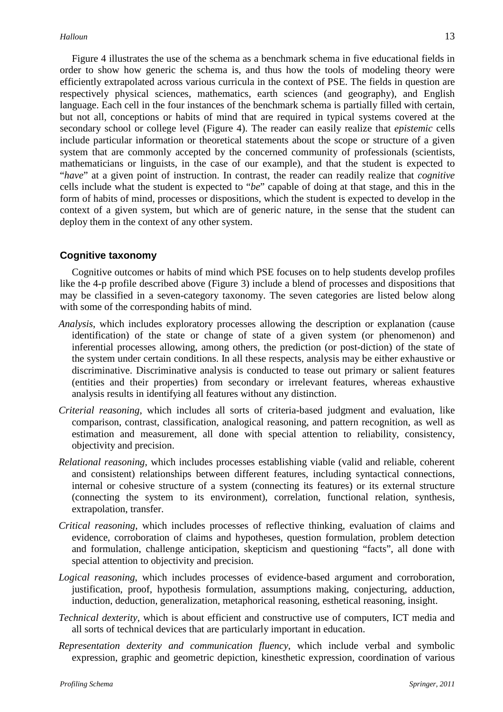Figure 4 illustrates the use of the schema as a benchmark schema in five educational fields in order to show how generic the schema is, and thus how the tools of modeling theory were efficiently extrapolated across various curricula in the context of PSE. The fields in question are respectively physical sciences, mathematics, earth sciences (and geography), and English language. Each cell in the four instances of the benchmark schema is partially filled with certain, but not all, conceptions or habits of mind that are required in typical systems covered at the secondary school or college level (Figure 4). The reader can easily realize that *epistemic* cells include particular information or theoretical statements about the scope or structure of a given system that are commonly accepted by the concerned community of professionals (scientists, mathematicians or linguists, in the case of our example), and that the student is expected to "*have*" at a given point of instruction. In contrast, the reader can readily realize that *cognitive* cells include what the student is expected to "*be*" capable of doing at that stage, and this in the form of habits of mind, processes or dispositions, which the student is expected to develop in the context of a given system, but which are of generic nature, in the sense that the student can deploy them in the context of any other system.

#### **Cognitive taxonomy**

Cognitive outcomes or habits of mind which PSE focuses on to help students develop profiles like the 4-p profile described above (Figure 3) include a blend of processes and dispositions that may be classified in a seven-category taxonomy. The seven categories are listed below along with some of the corresponding habits of mind.

- *Analysis*, which includes exploratory processes allowing the description or explanation (cause identification) of the state or change of state of a given system (or phenomenon) and inferential processes allowing, among others, the prediction (or post-diction) of the state of the system under certain conditions. In all these respects, analysis may be either exhaustive or discriminative. Discriminative analysis is conducted to tease out primary or salient features (entities and their properties) from secondary or irrelevant features, whereas exhaustive analysis results in identifying all features without any distinction.
- *Criterial reasoning*, which includes all sorts of criteria-based judgment and evaluation, like comparison, contrast, classification, analogical reasoning, and pattern recognition, as well as estimation and measurement, all done with special attention to reliability, consistency, objectivity and precision.
- *Relational reasoning*, which includes processes establishing viable (valid and reliable, coherent and consistent) relationships between different features, including syntactical connections, internal or cohesive structure of a system (connecting its features) or its external structure (connecting the system to its environment), correlation, functional relation, synthesis, extrapolation, transfer.
- *Critical reasoning*, which includes processes of reflective thinking, evaluation of claims and evidence, corroboration of claims and hypotheses, question formulation, problem detection and formulation, challenge anticipation, skepticism and questioning "facts", all done with special attention to objectivity and precision.
- *Logical reasoning*, which includes processes of evidence-based argument and corroboration, justification, proof, hypothesis formulation, assumptions making, conjecturing, adduction, induction, deduction, generalization, metaphorical reasoning, esthetical reasoning, insight.
- *Technical dexterity*, which is about efficient and constructive use of computers, ICT media and all sorts of technical devices that are particularly important in education.
- *Representation dexterity and communication fluency*, which include verbal and symbolic expression, graphic and geometric depiction, kinesthetic expression, coordination of various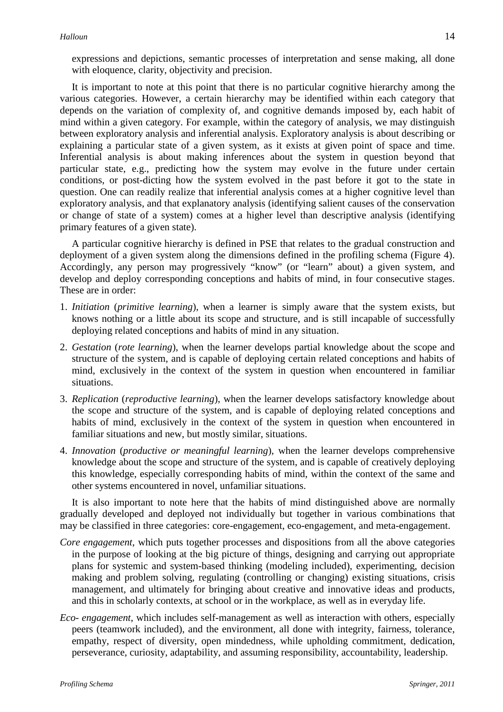expressions and depictions, semantic processes of interpretation and sense making, all done with eloquence, clarity, objectivity and precision.

It is important to note at this point that there is no particular cognitive hierarchy among the various categories. However, a certain hierarchy may be identified within each category that depends on the variation of complexity of, and cognitive demands imposed by, each habit of mind within a given category. For example, within the category of analysis, we may distinguish between exploratory analysis and inferential analysis. Exploratory analysis is about describing or explaining a particular state of a given system, as it exists at given point of space and time. Inferential analysis is about making inferences about the system in question beyond that particular state, e.g., predicting how the system may evolve in the future under certain conditions, or post-dicting how the system evolved in the past before it got to the state in question. One can readily realize that inferential analysis comes at a higher cognitive level than exploratory analysis, and that explanatory analysis (identifying salient causes of the conservation or change of state of a system) comes at a higher level than descriptive analysis (identifying primary features of a given state).

A particular cognitive hierarchy is defined in PSE that relates to the gradual construction and deployment of a given system along the dimensions defined in the profiling schema (Figure 4). Accordingly, any person may progressively "know" (or "learn" about) a given system, and develop and deploy corresponding conceptions and habits of mind, in four consecutive stages. These are in order:

- 1. *Initiation* (*primitive learning*), when a learner is simply aware that the system exists, but knows nothing or a little about its scope and structure, and is still incapable of successfully deploying related conceptions and habits of mind in any situation.
- 2. *Gestation* (*rote learning*), when the learner develops partial knowledge about the scope and structure of the system, and is capable of deploying certain related conceptions and habits of mind, exclusively in the context of the system in question when encountered in familiar situations.
- 3. *Replication* (*reproductive learning*), when the learner develops satisfactory knowledge about the scope and structure of the system, and is capable of deploying related conceptions and habits of mind, exclusively in the context of the system in question when encountered in familiar situations and new, but mostly similar, situations.
- 4. *Innovation* (*productive or meaningful learning*), when the learner develops comprehensive knowledge about the scope and structure of the system, and is capable of creatively deploying this knowledge, especially corresponding habits of mind, within the context of the same and other systems encountered in novel, unfamiliar situations.

It is also important to note here that the habits of mind distinguished above are normally gradually developed and deployed not individually but together in various combinations that may be classified in three categories: core-engagement, eco-engagement, and meta-engagement.

- *Core engagement*, which puts together processes and dispositions from all the above categories in the purpose of looking at the big picture of things, designing and carrying out appropriate plans for systemic and system-based thinking (modeling included), experimenting, decision making and problem solving, regulating (controlling or changing) existing situations, crisis management, and ultimately for bringing about creative and innovative ideas and products, and this in scholarly contexts, at school or in the workplace, as well as in everyday life.
- *Eco- engagement*, which includes self-management as well as interaction with others, especially peers (teamwork included), and the environment, all done with integrity, fairness, tolerance, empathy, respect of diversity, open mindedness, while upholding commitment, dedication, perseverance, curiosity, adaptability, and assuming responsibility, accountability, leadership.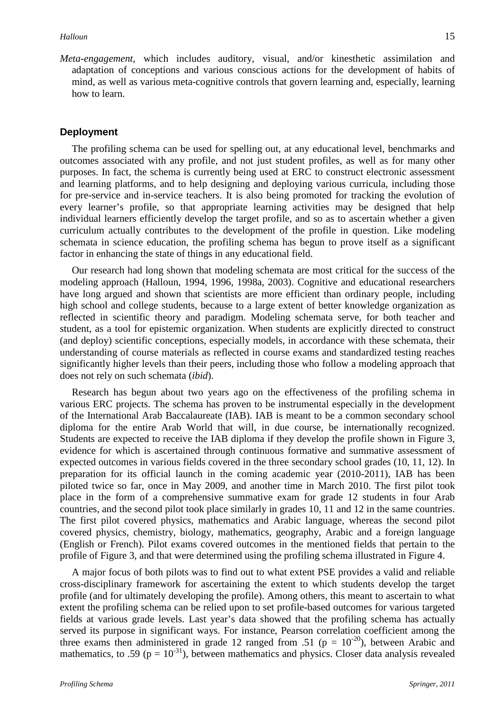*Meta-engagement*, which includes auditory, visual, and/or kinesthetic assimilation and adaptation of conceptions and various conscious actions for the development of habits of mind, as well as various meta-cognitive controls that govern learning and, especially, learning how to learn.

### **Deployment**

The profiling schema can be used for spelling out, at any educational level, benchmarks and outcomes associated with any profile, and not just student profiles, as well as for many other purposes. In fact, the schema is currently being used at ERC to construct electronic assessment and learning platforms, and to help designing and deploying various curricula, including those for pre-service and in-service teachers. It is also being promoted for tracking the evolution of every learner's profile, so that appropriate learning activities may be designed that help individual learners efficiently develop the target profile, and so as to ascertain whether a given curriculum actually contributes to the development of the profile in question. Like modeling schemata in science education, the profiling schema has begun to prove itself as a significant factor in enhancing the state of things in any educational field.

Our research had long shown that modeling schemata are most critical for the success of the modeling approach (Halloun, 1994, 1996, 1998a, 2003). Cognitive and educational researchers have long argued and shown that scientists are more efficient than ordinary people, including high school and college students, because to a large extent of better knowledge organization as reflected in scientific theory and paradigm. Modeling schemata serve, for both teacher and student, as a tool for epistemic organization. When students are explicitly directed to construct (and deploy) scientific conceptions, especially models, in accordance with these schemata, their understanding of course materials as reflected in course exams and standardized testing reaches significantly higher levels than their peers, including those who follow a modeling approach that does not rely on such schemata (*ibid*).

Research has begun about two years ago on the effectiveness of the profiling schema in various ERC projects. The schema has proven to be instrumental especially in the development of the International Arab Baccalaureate (IAB). IAB is meant to be a common secondary school diploma for the entire Arab World that will, in due course, be internationally recognized. Students are expected to receive the IAB diploma if they develop the profile shown in Figure 3, evidence for which is ascertained through continuous formative and summative assessment of expected outcomes in various fields covered in the three secondary school grades (10, 11, 12). In preparation for its official launch in the coming academic year (2010-2011), IAB has been piloted twice so far, once in May 2009, and another time in March 2010. The first pilot took place in the form of a comprehensive summative exam for grade 12 students in four Arab countries, and the second pilot took place similarly in grades 10, 11 and 12 in the same countries. The first pilot covered physics, mathematics and Arabic language, whereas the second pilot covered physics, chemistry, biology, mathematics, geography, Arabic and a foreign language (English or French). Pilot exams covered outcomes in the mentioned fields that pertain to the profile of Figure 3, and that were determined using the profiling schema illustrated in Figure 4.

A major focus of both pilots was to find out to what extent PSE provides a valid and reliable cross-disciplinary framework for ascertaining the extent to which students develop the target profile (and for ultimately developing the profile). Among others, this meant to ascertain to what extent the profiling schema can be relied upon to set profile-based outcomes for various targeted fields at various grade levels. Last year's data showed that the profiling schema has actually served its purpose in significant ways. For instance, Pearson correlation coefficient among the three exams then administered in grade 12 ranged from .51 ( $p = 10^{-20}$ ), between Arabic and mathematics, to .59 ( $p = 10^{-31}$ ), between mathematics and physics. Closer data analysis revealed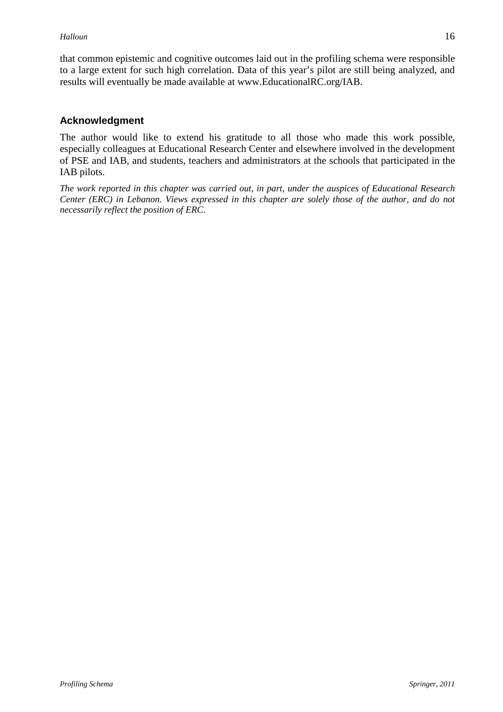that common epistemic and cognitive outcomes laid out in the profiling schema were responsible to a large extent for such high correlation. Data of this year's pilot are still being analyzed, and results will eventually be made available at www.EducationalRC.org/IAB.

# **Acknowledgment**

The author would like to extend his gratitude to all those who made this work possible, especially colleagues at Educational Research Center and elsewhere involved in the development of PSE and IAB, and students, teachers and administrators at the schools that participated in the IAB pilots.

*The work reported in this chapter was carried out, in part, under the auspices of Educational Research Center (ERC) in Lebanon. Views expressed in this chapter are solely those of the author, and do not necessarily reflect the position of ERC*.